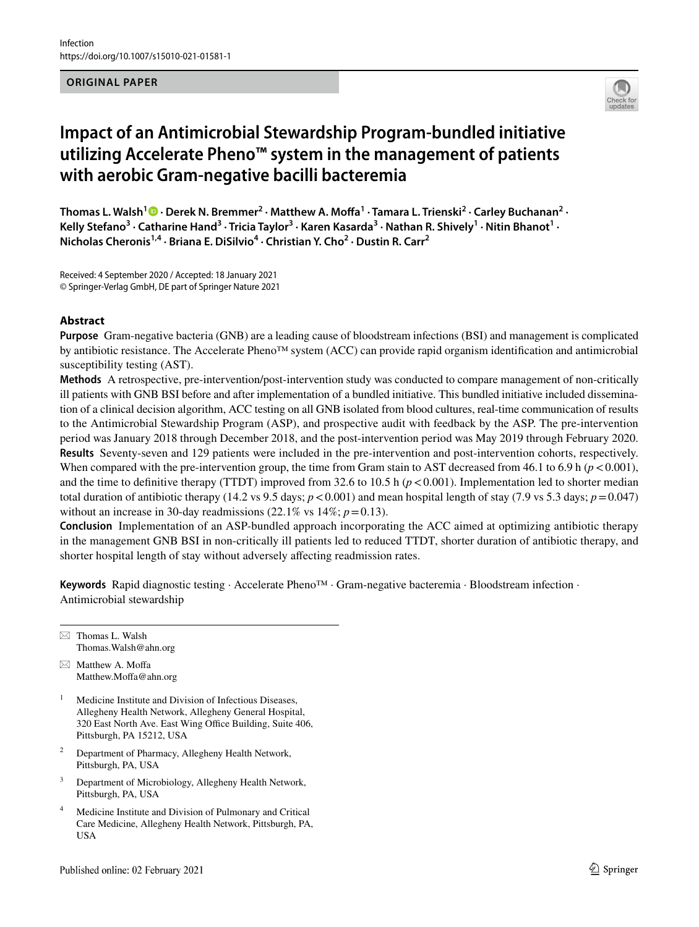## **ORIGINAL PAPER**



# **Impact of an Antimicrobial Stewardship Program‑bundled initiative utilizing Accelerate Pheno™ system in the management of patients with aerobic Gram‑negative bacilli bacteremia**

Thomas L. Walsh<sup>1</sup> <sup>®</sup> [·](http://orcid.org/0000-0002-9388-7776) Derek N. Bremmer<sup>2</sup> · Matthew A. Moffa<sup>1</sup> · Tamara L. Trienski<sup>2</sup> · Carley Buchanan<sup>2</sup> · Kelly Stefano<sup>3</sup> • Catharine Hand<sup>3</sup> • Tricia Taylor<sup>3</sup> • Karen Kasarda<sup>3</sup> • Nathan R. Shively<sup>1</sup> • Nitin Bhanot<sup>1</sup> • **Nicholas Cheronis1,4 · Briana E. DiSilvio4 · Christian Y. Cho2 · Dustin R. Carr2**

Received: 4 September 2020 / Accepted: 18 January 2021 © Springer-Verlag GmbH, DE part of Springer Nature 2021

## **Abstract**

**Purpose** Gram-negative bacteria (GNB) are a leading cause of bloodstream infections (BSI) and management is complicated by antibiotic resistance. The Accelerate Pheno™ system (ACC) can provide rapid organism identifcation and antimicrobial susceptibility testing (AST).

**Methods** A retrospective, pre-intervention/post-intervention study was conducted to compare management of non-critically ill patients with GNB BSI before and after implementation of a bundled initiative. This bundled initiative included dissemination of a clinical decision algorithm, ACC testing on all GNB isolated from blood cultures, real-time communication of results to the Antimicrobial Stewardship Program (ASP), and prospective audit with feedback by the ASP. The pre-intervention period was January 2018 through December 2018, and the post-intervention period was May 2019 through February 2020. **Results** Seventy-seven and 129 patients were included in the pre-intervention and post-intervention cohorts, respectively. When compared with the pre-intervention group, the time from Gram stain to AST decreased from 46.1 to 6.9 h  $(p < 0.001)$ , and the time to definitive therapy (TTDT) improved from 32.6 to 10.5 h ( $p < 0.001$ ). Implementation led to shorter median total duration of antibiotic therapy (14.2 vs 9.5 days;  $p < 0.001$ ) and mean hospital length of stay (7.9 vs 5.3 days;  $p = 0.047$ ) without an increase in 30-day readmissions  $(22.1\% \text{ vs } 14\%; p=0.13)$ .

**Conclusion** Implementation of an ASP-bundled approach incorporating the ACC aimed at optimizing antibiotic therapy in the management GNB BSI in non-critically ill patients led to reduced TTDT, shorter duration of antibiotic therapy, and shorter hospital length of stay without adversely afecting readmission rates.

**Keywords** Rapid diagnostic testing · Accelerate Pheno™ · Gram-negative bacteremia · Bloodstream infection · Antimicrobial stewardship

 $\boxtimes$  Thomas L. Walsh Thomas.Walsh@ahn.org

 $\boxtimes$  Matthew A. Moffa Matthew.Moffa@ahn.org

- <sup>1</sup> Medicine Institute and Division of Infectious Diseases, Allegheny Health Network, Allegheny General Hospital, 320 East North Ave. East Wing Office Building, Suite 406, Pittsburgh, PA 15212, USA
- <sup>2</sup> Department of Pharmacy, Allegheny Health Network, Pittsburgh, PA, USA
- <sup>3</sup> Department of Microbiology, Allegheny Health Network, Pittsburgh, PA, USA
- Medicine Institute and Division of Pulmonary and Critical Care Medicine, Allegheny Health Network, Pittsburgh, PA, USA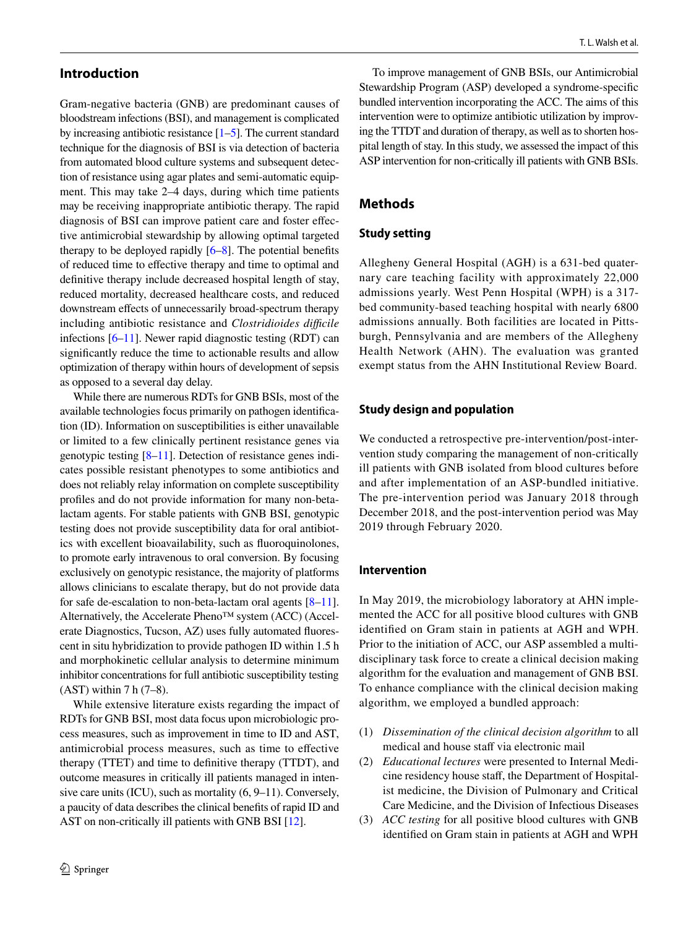# **Introduction**

Gram-negative bacteria (GNB) are predominant causes of bloodstream infections (BSI), and management is complicated by increasing antibiotic resistance [[1](#page-7-0)[–5](#page-7-1)]. The current standard technique for the diagnosis of BSI is via detection of bacteria from automated blood culture systems and subsequent detection of resistance using agar plates and semi-automatic equipment. This may take 2–4 days, during which time patients may be receiving inappropriate antibiotic therapy. The rapid diagnosis of BSI can improve patient care and foster efective antimicrobial stewardship by allowing optimal targeted therapy to be deployed rapidly [[6–](#page-7-2)[8\]](#page-8-0). The potential benefts of reduced time to efective therapy and time to optimal and defnitive therapy include decreased hospital length of stay, reduced mortality, decreased healthcare costs, and reduced downstream effects of unnecessarily broad-spectrum therapy including antibiotic resistance and *Clostridioides difcile* infections [\[6](#page-7-2)[–11](#page-8-1)]. Newer rapid diagnostic testing (RDT) can signifcantly reduce the time to actionable results and allow optimization of therapy within hours of development of sepsis as opposed to a several day delay.

While there are numerous RDTs for GNB BSIs, most of the available technologies focus primarily on pathogen identifcation (ID). Information on susceptibilities is either unavailable or limited to a few clinically pertinent resistance genes via genotypic testing [\[8](#page-8-0)[–11](#page-8-1)]. Detection of resistance genes indicates possible resistant phenotypes to some antibiotics and does not reliably relay information on complete susceptibility profles and do not provide information for many non-betalactam agents. For stable patients with GNB BSI, genotypic testing does not provide susceptibility data for oral antibiotics with excellent bioavailability, such as fuoroquinolones, to promote early intravenous to oral conversion. By focusing exclusively on genotypic resistance, the majority of platforms allows clinicians to escalate therapy, but do not provide data for safe de-escalation to non-beta-lactam oral agents [[8–](#page-8-0)[11](#page-8-1)]. Alternatively, the Accelerate Pheno™ system (ACC) (Accelerate Diagnostics, Tucson, AZ) uses fully automated fuorescent in situ hybridization to provide pathogen ID within 1.5 h and morphokinetic cellular analysis to determine minimum inhibitor concentrations for full antibiotic susceptibility testing  $(AST)$  within 7 h $(7-8)$ .

While extensive literature exists regarding the impact of RDTs for GNB BSI, most data focus upon microbiologic process measures, such as improvement in time to ID and AST, antimicrobial process measures, such as time to efective therapy (TTET) and time to defnitive therapy (TTDT), and outcome measures in critically ill patients managed in intensive care units (ICU), such as mortality (6, 9–11). Conversely, a paucity of data describes the clinical benefts of rapid ID and AST on non-critically ill patients with GNB BSI [\[12](#page-8-2)].

To improve management of GNB BSIs, our Antimicrobial Stewardship Program (ASP) developed a syndrome-specifc bundled intervention incorporating the ACC. The aims of this intervention were to optimize antibiotic utilization by improving the TTDT and duration of therapy, as well as to shorten hospital length of stay. In this study, we assessed the impact of this ASP intervention for non-critically ill patients with GNB BSIs.

# **Methods**

## **Study setting**

Allegheny General Hospital (AGH) is a 631-bed quaternary care teaching facility with approximately 22,000 admissions yearly. West Penn Hospital (WPH) is a 317 bed community-based teaching hospital with nearly 6800 admissions annually. Both facilities are located in Pittsburgh, Pennsylvania and are members of the Allegheny Health Network (AHN). The evaluation was granted exempt status from the AHN Institutional Review Board.

#### **Study design and population**

We conducted a retrospective pre-intervention/post-intervention study comparing the management of non-critically ill patients with GNB isolated from blood cultures before and after implementation of an ASP-bundled initiative. The pre-intervention period was January 2018 through December 2018, and the post-intervention period was May 2019 through February 2020.

#### **Intervention**

In May 2019, the microbiology laboratory at AHN implemented the ACC for all positive blood cultures with GNB identifed on Gram stain in patients at AGH and WPH. Prior to the initiation of ACC, our ASP assembled a multidisciplinary task force to create a clinical decision making algorithm for the evaluation and management of GNB BSI. To enhance compliance with the clinical decision making algorithm, we employed a bundled approach:

- (1) *Dissemination of the clinical decision algorithm* to all medical and house staff via electronic mail
- (2) *Educational lectures* were presented to Internal Medicine residency house staf, the Department of Hospitalist medicine, the Division of Pulmonary and Critical Care Medicine, and the Division of Infectious Diseases
- (3) *ACC testing* for all positive blood cultures with GNB identifed on Gram stain in patients at AGH and WPH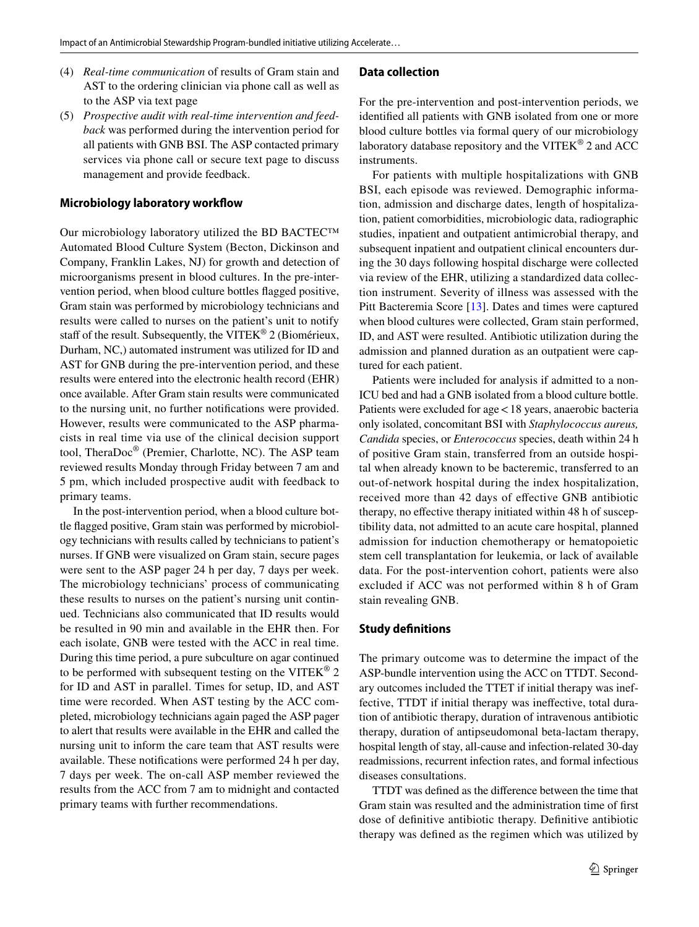- (4) *Real-time communication* of results of Gram stain and AST to the ordering clinician via phone call as well as to the ASP via text page
- (5) *Prospective audit with real-time intervention and feedback* was performed during the intervention period for all patients with GNB BSI. The ASP contacted primary services via phone call or secure text page to discuss management and provide feedback.

## **Microbiology laboratory workfow**

Our microbiology laboratory utilized the BD BACTEC™ Automated Blood Culture System (Becton, Dickinson and Company, Franklin Lakes, NJ) for growth and detection of microorganisms present in blood cultures. In the pre-intervention period, when blood culture bottles fagged positive, Gram stain was performed by microbiology technicians and results were called to nurses on the patient's unit to notify staff of the result. Subsequently, the VITEK® 2 (Biomérieux, Durham, NC,) automated instrument was utilized for ID and AST for GNB during the pre-intervention period, and these results were entered into the electronic health record (EHR) once available. After Gram stain results were communicated to the nursing unit, no further notifcations were provided. However, results were communicated to the ASP pharmacists in real time via use of the clinical decision support tool, TheraDoc® (Premier, Charlotte, NC). The ASP team reviewed results Monday through Friday between 7 am and 5 pm, which included prospective audit with feedback to primary teams.

In the post-intervention period, when a blood culture bottle fagged positive, Gram stain was performed by microbiology technicians with results called by technicians to patient's nurses. If GNB were visualized on Gram stain, secure pages were sent to the ASP pager 24 h per day, 7 days per week. The microbiology technicians' process of communicating these results to nurses on the patient's nursing unit continued. Technicians also communicated that ID results would be resulted in 90 min and available in the EHR then. For each isolate, GNB were tested with the ACC in real time. During this time period, a pure subculture on agar continued to be performed with subsequent testing on the VITEK<sup>®</sup> 2 for ID and AST in parallel. Times for setup, ID, and AST time were recorded. When AST testing by the ACC completed, microbiology technicians again paged the ASP pager to alert that results were available in the EHR and called the nursing unit to inform the care team that AST results were available. These notifcations were performed 24 h per day, 7 days per week. The on-call ASP member reviewed the results from the ACC from 7 am to midnight and contacted primary teams with further recommendations.

# **Data collection**

For the pre-intervention and post-intervention periods, we identifed all patients with GNB isolated from one or more blood culture bottles via formal query of our microbiology laboratory database repository and the VITEK® 2 and ACC instruments.

For patients with multiple hospitalizations with GNB BSI, each episode was reviewed. Demographic information, admission and discharge dates, length of hospitalization, patient comorbidities, microbiologic data, radiographic studies, inpatient and outpatient antimicrobial therapy, and subsequent inpatient and outpatient clinical encounters during the 30 days following hospital discharge were collected via review of the EHR, utilizing a standardized data collection instrument. Severity of illness was assessed with the Pitt Bacteremia Score [[13\]](#page-8-3). Dates and times were captured when blood cultures were collected, Gram stain performed, ID, and AST were resulted. Antibiotic utilization during the admission and planned duration as an outpatient were captured for each patient.

Patients were included for analysis if admitted to a non-ICU bed and had a GNB isolated from a blood culture bottle. Patients were excluded for age<18 years, anaerobic bacteria only isolated, concomitant BSI with *Staphylococcus aureus, Candida* species, or *Enterococcus* species, death within 24 h of positive Gram stain, transferred from an outside hospital when already known to be bacteremic, transferred to an out-of-network hospital during the index hospitalization, received more than 42 days of efective GNB antibiotic therapy, no efective therapy initiated within 48 h of susceptibility data, not admitted to an acute care hospital, planned admission for induction chemotherapy or hematopoietic stem cell transplantation for leukemia, or lack of available data. For the post-intervention cohort, patients were also excluded if ACC was not performed within 8 h of Gram stain revealing GNB.

#### **Study defnitions**

The primary outcome was to determine the impact of the ASP-bundle intervention using the ACC on TTDT. Secondary outcomes included the TTET if initial therapy was ineffective, TTDT if initial therapy was inefective, total duration of antibiotic therapy, duration of intravenous antibiotic therapy, duration of antipseudomonal beta-lactam therapy, hospital length of stay, all-cause and infection-related 30-day readmissions, recurrent infection rates, and formal infectious diseases consultations.

TTDT was defned as the diference between the time that Gram stain was resulted and the administration time of frst dose of defnitive antibiotic therapy. Defnitive antibiotic therapy was defned as the regimen which was utilized by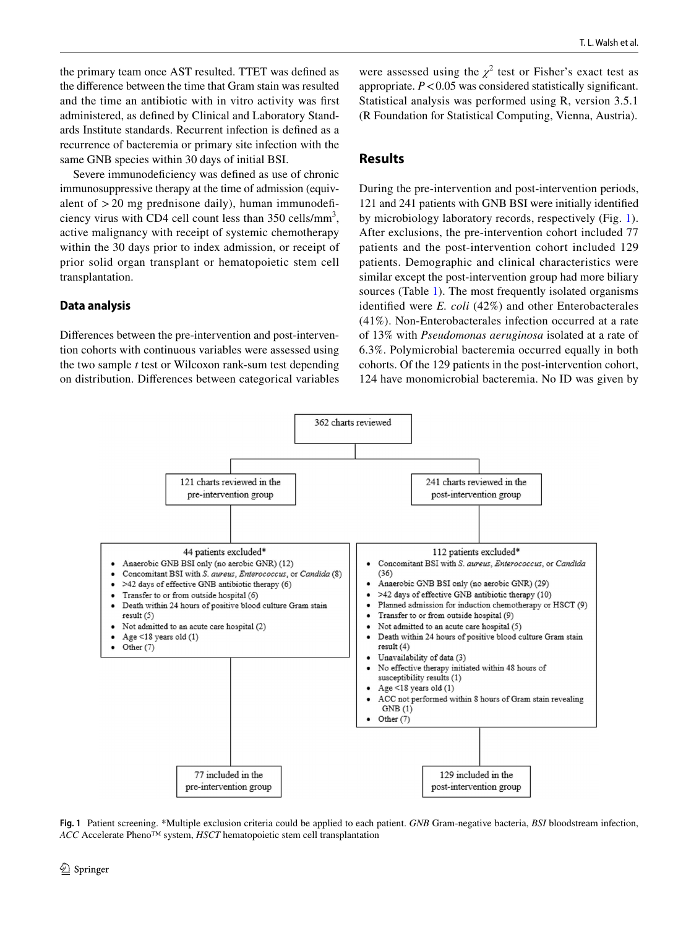the primary team once AST resulted. TTET was defned as the diference between the time that Gram stain was resulted and the time an antibiotic with in vitro activity was frst administered, as defned by Clinical and Laboratory Standards Institute standards. Recurrent infection is defned as a recurrence of bacteremia or primary site infection with the same GNB species within 30 days of initial BSI.

Severe immunodeficiency was defined as use of chronic immunosuppressive therapy at the time of admission (equivalent of  $>$  20 mg prednisone daily), human immunodeficiency virus with CD4 cell count less than  $350$  cells/mm<sup>3</sup>, active malignancy with receipt of systemic chemotherapy within the 30 days prior to index admission, or receipt of prior solid organ transplant or hematopoietic stem cell transplantation.

## **Data analysis**

Diferences between the pre-intervention and post-intervention cohorts with continuous variables were assessed using the two sample *t* test or Wilcoxon rank-sum test depending on distribution. Diferences between categorical variables

were assessed using the  $\chi^2$  test or Fisher's exact test as appropriate.  $P < 0.05$  was considered statistically significant. Statistical analysis was performed using R, version 3.5.1 (R Foundation for Statistical Computing, Vienna, Austria).

# **Results**

During the pre-intervention and post-intervention periods, 121 and 241 patients with GNB BSI were initially identifed by microbiology laboratory records, respectively (Fig. [1](#page-3-0)). After exclusions, the pre-intervention cohort included 77 patients and the post-intervention cohort included 129 patients. Demographic and clinical characteristics were similar except the post-intervention group had more biliary sources (Table [1\)](#page-4-0). The most frequently isolated organisms identifed were *E. coli* (42%) and other Enterobacterales (41%). Non-Enterobacterales infection occurred at a rate of 13% with *Pseudomonas aeruginosa* isolated at a rate of 6.3%. Polymicrobial bacteremia occurred equally in both cohorts. Of the 129 patients in the post-intervention cohort, 124 have monomicrobial bacteremia. No ID was given by



<span id="page-3-0"></span>**Fig. 1** Patient screening. \*Multiple exclusion criteria could be applied to each patient. *GNB* Gram-negative bacteria, *BSI* bloodstream infection, *ACC* Accelerate Pheno™ system, *HSCT* hematopoietic stem cell transplantation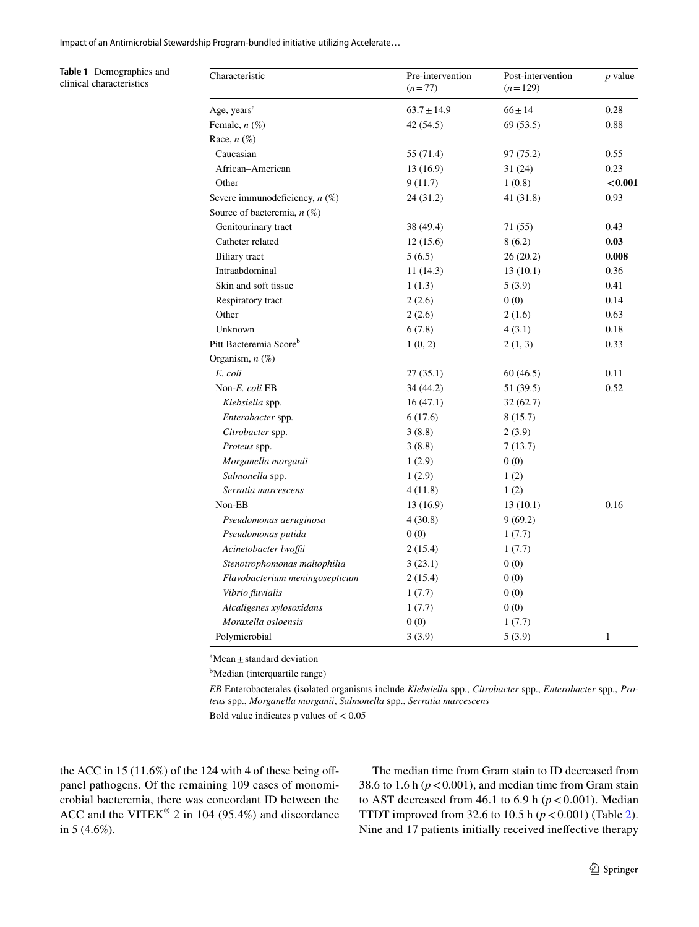<span id="page-4-0"></span>**Table 1** Demographics and clinical characteristics

| Characteristic                     | Pre-intervention<br>$(n=77)$ | Post-intervention<br>$(n=129)$ | $p$ value    |
|------------------------------------|------------------------------|--------------------------------|--------------|
| Age, years <sup>a</sup>            | $63.7 \pm 14.9$              | $66 \pm 14$                    | 0.28         |
| Female, $n$ $(\%)$                 | 42 (54.5)                    | 69(53.5)                       | 0.88         |
| Race, $n(\%)$                      |                              |                                |              |
| Caucasian                          | 55 (71.4)                    | 97 (75.2)                      | 0.55         |
| African-American                   | 13(16.9)                     | 31(24)                         | 0.23         |
| Other                              | 9(11.7)                      | 1(0.8)                         | < 0.001      |
| Severe immunodeficiency, $n$ (%)   | 24(31.2)                     | 41(31.8)                       | 0.93         |
| Source of bacteremia, $n$ (%)      |                              |                                |              |
| Genitourinary tract                | 38 (49.4)                    | 71 (55)                        | 0.43         |
| Catheter related                   | 12(15.6)                     | 8(6.2)                         | 0.03         |
| <b>Biliary</b> tract               | 5(6.5)                       | 26(20.2)                       | 0.008        |
| Intraabdominal                     | 11(14.3)                     | 13(10.1)                       | 0.36         |
| Skin and soft tissue               | 1(1.3)                       | 5(3.9)                         | 0.41         |
| Respiratory tract                  | 2(2.6)                       | 0(0)                           | 0.14         |
| Other                              | 2(2.6)                       | 2(1.6)                         | 0.63         |
| Unknown                            | 6(7.8)                       | 4(3.1)                         | 0.18         |
| Pitt Bacteremia Score <sup>b</sup> | 1(0, 2)                      | 2(1, 3)                        | 0.33         |
| Organism, $n$ $(\%)$               |                              |                                |              |
| E. coli                            | 27(35.1)                     | 60(46.5)                       | 0.11         |
| Non-E. coli EB                     | 34 (44.2)                    | 51 (39.5)                      | 0.52         |
| Klebsiella spp.                    | 16(47.1)                     | 32(62.7)                       |              |
| Enterobacter spp.                  | 6(17.6)                      | 8(15.7)                        |              |
| Citrobacter spp.                   | 3(8.8)                       | 2(3.9)                         |              |
| Proteus spp.                       | 3(8.8)                       | 7(13.7)                        |              |
| Morganella morganii                | 1(2.9)                       | 0(0)                           |              |
| Salmonella spp.                    | 1(2.9)                       | 1(2)                           |              |
| Serratia marcescens                | 4(11.8)                      | 1(2)                           |              |
| Non-EB                             | 13(16.9)                     | 13(10.1)                       | 0.16         |
| Pseudomonas aeruginosa             | 4(30.8)                      | 9(69.2)                        |              |
| Pseudomonas putida                 | 0(0)                         | 1(7.7)                         |              |
| Acinetobacter lwoffii              | 2(15.4)                      | 1(7.7)                         |              |
| Stenotrophomonas maltophilia       | 3(23.1)                      | 0(0)                           |              |
| Flavobacterium meningosepticum     | 2(15.4)                      | 0(0)                           |              |
| Vibrio fluvialis                   | 1(7.7)                       | 0(0)                           |              |
| Alcaligenes xylosoxidans           | 1(7.7)                       | 0(0)                           |              |
| Moraxella osloensis                | 0(0)                         | 1(7.7)                         |              |
| Polymicrobial                      | 3(3.9)                       | 5(3.9)                         | $\mathbf{1}$ |

 $a^a$ Mean  $\pm$  standard deviation

<sup>b</sup>Median (interquartile range)

*EB* Enterobacterales (isolated organisms include *Klebsiella* spp., *Citrobacter* spp., *Enterobacter* spp., *Proteus* spp., *Morganella morganii*, *Salmonella* spp., *Serratia marcescens*

Bold value indicates  $p$  values of  $< 0.05$ 

the ACC in 15  $(11.6\%)$  of the 124 with 4 of these being offpanel pathogens. Of the remaining 109 cases of monomicrobial bacteremia, there was concordant ID between the ACC and the VITEK® 2 in 104 (95.4%) and discordance in 5 (4.6%).

The median time from Gram stain to ID decreased from 38.6 to 1.6 h  $(p < 0.001)$ , and median time from Gram stain to AST decreased from 46.1 to 6.9 h ( $p < 0.001$ ). Median TTDT improved from 32.6 to 10.5 h  $(p < 0.001)$  (Table [2](#page-5-0)). Nine and 17 patients initially received inefective therapy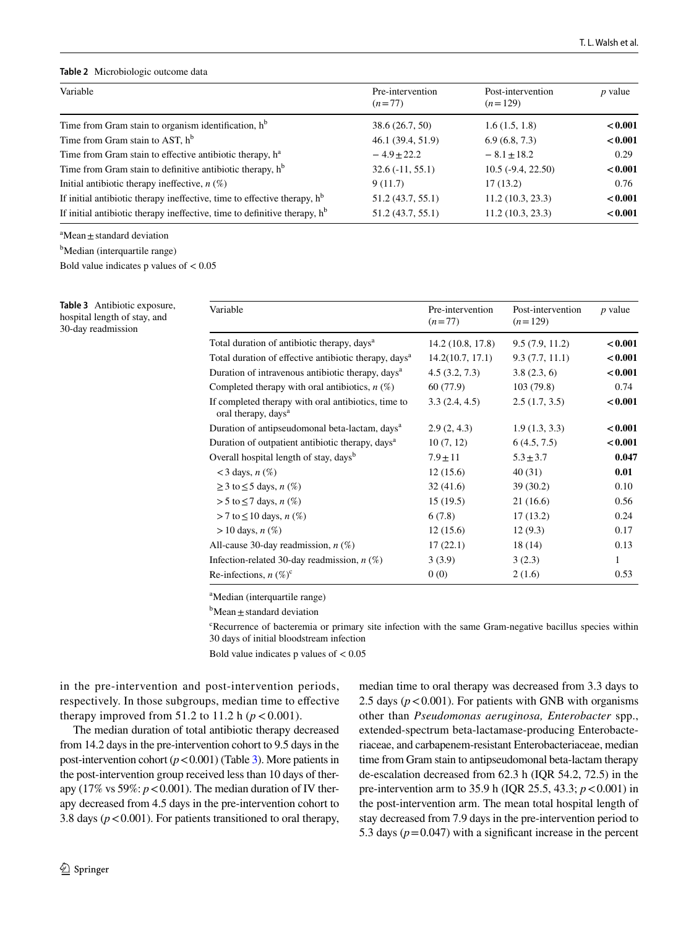#### <span id="page-5-0"></span>**Table 2** Microbiologic outcome data

| Variable                                                                              | Pre-intervention<br>$(n=77)$ | Post-intervention<br>$(n=129)$ | $p$ value |
|---------------------------------------------------------------------------------------|------------------------------|--------------------------------|-----------|
| Time from Gram stain to organism identification, $hb$                                 | 38.6 (26.7, 50)              | 1.6(1.5, 1.8)                  | < 0.001   |
| Time from Gram stain to AST, h <sup>b</sup>                                           | 46.1 (39.4, 51.9)            | 6.9(6.8, 7.3)                  | < 0.001   |
| Time from Gram stain to effective antibiotic therapy, h <sup>a</sup>                  | $-4.9+22.2$                  | $-8.1 \pm 18.2$                | 0.29      |
| Time from Gram stain to definitive antibiotic therapy, $h^b$                          | $32.6(-11, 55.1)$            | $10.5(-9.4, 22.50)$            | < 0.001   |
| Initial antibiotic therapy ineffective, $n$ (%)                                       | 9(11.7)                      | 17(13.2)                       | 0.76      |
| If initial antibiotic therapy ineffective, time to effective therapy, $hb$            | 51.2 (43.7, 55.1)            | 11.2(10.3, 23.3)               | < 0.001   |
| If initial antibiotic therapy ineffective, time to definitive therapy, h <sup>b</sup> | 51.2 (43.7, 55.1)            | 11.2(10.3, 23.3)               | < 0.001   |

 ${}^{\text{a}}$ Mean  $\pm$  standard deviation

<sup>b</sup>Median (interquartile range)

Bold value indicates p values of  $< 0.05$ 

<span id="page-5-1"></span>**Table 3** Antibiotic exposure, hospital length of stay, and 30-day readmission

| Variable                                                                               | Pre-intervention<br>$(n=77)$ | Post-intervention<br>$(n=129)$ | $p$ value |
|----------------------------------------------------------------------------------------|------------------------------|--------------------------------|-----------|
| Total duration of antibiotic therapy, days <sup>a</sup>                                | 14.2 (10.8, 17.8)            | 9.5(7.9, 11.2)                 | < 0.001   |
| Total duration of effective antibiotic therapy, days <sup>a</sup>                      | 14.2(10.7, 17.1)             | 9.3(7.7, 11.1)                 | < 0.001   |
| Duration of intravenous antibiotic therapy, days <sup>a</sup>                          | 4.5(3.2, 7.3)                | 3.8(2.3, 6)                    | < 0.001   |
| Completed therapy with oral antibiotics, $n(\%)$                                       | 60 (77.9)                    | 103(79.8)                      | 0.74      |
| If completed therapy with oral antibiotics, time to<br>oral therapy, days <sup>a</sup> | 3.3(2.4, 4.5)                | 2.5(1.7, 3.5)                  | < 0.001   |
| Duration of antipseudomonal beta-lactam, days <sup>a</sup>                             | 2.9(2, 4.3)                  | 1.9(1.3, 3.3)                  | < 0.001   |
| Duration of outpatient antibiotic therapy, days <sup>a</sup>                           | 10(7, 12)                    | 6(4.5, 7.5)                    | < 0.001   |
| Overall hospital length of stay, days <sup>b</sup>                                     | $7.9 \pm 11$                 | $5.3 \pm 3.7$                  | 0.047     |
| $<$ 3 days, n $(\%)$                                                                   | 12(15.6)                     | 40(31)                         | 0.01      |
| $\geq$ 3 to $\leq$ 5 days, n (%)                                                       | 32(41.6)                     | 39(30.2)                       | 0.10      |
| $>$ 5 to $\leq$ 7 days, n $(\%)$                                                       | 15(19.5)                     | 21(16.6)                       | 0.56      |
| > 7 to ≤ 10 days, <i>n</i> $(\%)$                                                      | 6(7.8)                       | 17(13.2)                       | 0.24      |
| $> 10$ days, <i>n</i> $(\%)$                                                           | 12(15.6)                     | 12(9.3)                        | 0.17      |
| All-cause 30-day readmission, $n$ (%)                                                  | 17(22.1)                     | 18 (14)                        | 0.13      |
| Infection-related 30-day readmission, $n$ (%)                                          | 3(3.9)                       | 3(2.3)                         | 1         |
| Re-infections, $n$ (%) <sup>c</sup>                                                    | 0(0)                         | 2(1.6)                         | 0.53      |

a Median (interquartile range)

 $b$ Mean  $\pm$  standard deviation

<sup>c</sup>Recurrence of bacteremia or primary site infection with the same Gram-negative bacillus species within 30 days of initial bloodstream infection

Bold value indicates  $p$  values of  $< 0.05$ 

in the pre-intervention and post-intervention periods, respectively. In those subgroups, median time to efective therapy improved from 51.2 to 11.2 h  $(p < 0.001)$ .

The median duration of total antibiotic therapy decreased from 14.2 days in the pre-intervention cohort to 9.5 days in the post-intervention cohort  $(p < 0.001)$  (Table [3\)](#page-5-1). More patients in the post-intervention group received less than 10 days of therapy (17% vs 59%:  $p < 0.001$ ). The median duration of IV therapy decreased from 4.5 days in the pre-intervention cohort to 3.8 days  $(p < 0.001)$ . For patients transitioned to oral therapy,

riaceae, and carbapenem-resistant Enterobacteriaceae, median time from Gram stain to antipseudomonal beta-lactam therapy de-escalation decreased from 62.3 h (IQR 54.2, 72.5) in the pre-intervention arm to 35.9 h (IQR 25.5, 43.3; *p*<0.001) in the post-intervention arm. The mean total hospital length of stay decreased from 7.9 days in the pre-intervention period to 5.3 days  $(p=0.047)$  with a significant increase in the percent

median time to oral therapy was decreased from 3.3 days to 2.5 days  $(p < 0.001)$ . For patients with GNB with organisms other than *Pseudomonas aeruginosa, Enterobacter* spp., extended-spectrum beta-lactamase-producing Enterobacte-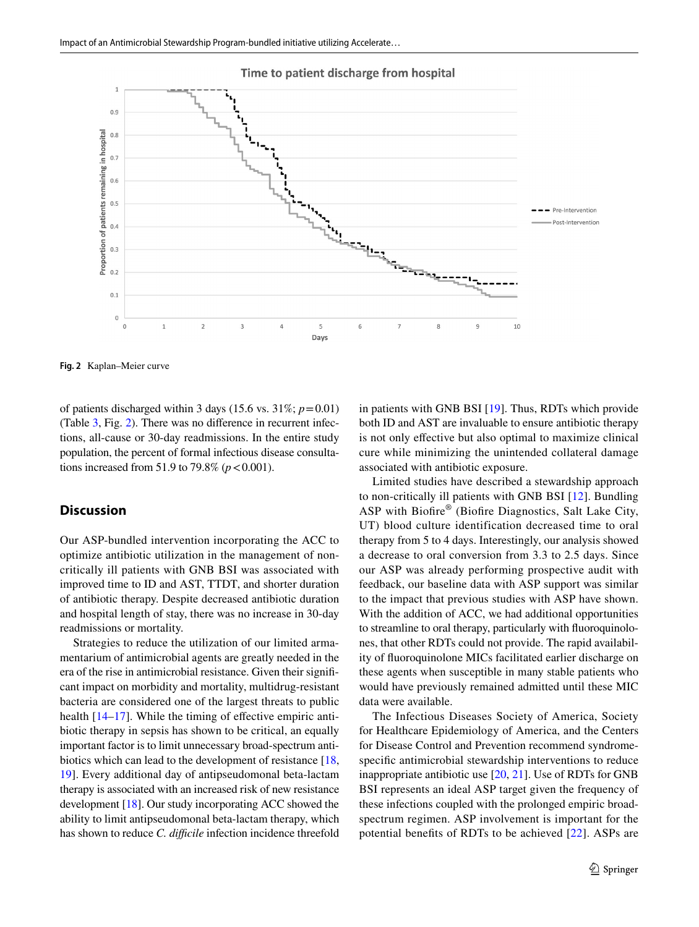

#### Time to patient discharge from hospital

<span id="page-6-0"></span>**Fig. 2** Kaplan–Meier curve

of patients discharged within 3 days (15.6 vs.  $31\%$ ;  $p=0.01$ ) (Table [3,](#page-5-1) Fig. [2](#page-6-0)). There was no diference in recurrent infections, all-cause or 30-day readmissions. In the entire study population, the percent of formal infectious disease consultations increased from 51.9 to 79.8% ( $p < 0.001$ ).

# **Discussion**

Our ASP-bundled intervention incorporating the ACC to optimize antibiotic utilization in the management of noncritically ill patients with GNB BSI was associated with improved time to ID and AST, TTDT, and shorter duration of antibiotic therapy. Despite decreased antibiotic duration and hospital length of stay, there was no increase in 30-day readmissions or mortality.

Strategies to reduce the utilization of our limited armamentarium of antimicrobial agents are greatly needed in the era of the rise in antimicrobial resistance. Given their signifcant impact on morbidity and mortality, multidrug-resistant bacteria are considered one of the largest threats to public health [[14](#page-8-4)[–17](#page-8-5)]. While the timing of effective empiric antibiotic therapy in sepsis has shown to be critical, an equally important factor is to limit unnecessary broad-spectrum antibiotics which can lead to the development of resistance [[18,](#page-8-6) [19](#page-8-7)]. Every additional day of antipseudomonal beta-lactam therapy is associated with an increased risk of new resistance development [\[18](#page-8-6)]. Our study incorporating ACC showed the ability to limit antipseudomonal beta-lactam therapy, which has shown to reduce *C. difficile* infection incidence threefold in patients with GNB BSI [[19\]](#page-8-7). Thus, RDTs which provide both ID and AST are invaluable to ensure antibiotic therapy is not only efective but also optimal to maximize clinical cure while minimizing the unintended collateral damage associated with antibiotic exposure.

Limited studies have described a stewardship approach to non-critically ill patients with GNB BSI [[12\]](#page-8-2). Bundling ASP with Biofre® (Biofre Diagnostics, Salt Lake City, UT) blood culture identification decreased time to oral therapy from 5 to 4 days. Interestingly, our analysis showed a decrease to oral conversion from 3.3 to 2.5 days. Since our ASP was already performing prospective audit with feedback, our baseline data with ASP support was similar to the impact that previous studies with ASP have shown. With the addition of ACC, we had additional opportunities to streamline to oral therapy, particularly with fuoroquinolones, that other RDTs could not provide. The rapid availability of fuoroquinolone MICs facilitated earlier discharge on these agents when susceptible in many stable patients who would have previously remained admitted until these MIC data were available.

The Infectious Diseases Society of America, Society for Healthcare Epidemiology of America, and the Centers for Disease Control and Prevention recommend syndromespecifc antimicrobial stewardship interventions to reduce inappropriate antibiotic use [[20,](#page-8-8) [21\]](#page-8-9). Use of RDTs for GNB BSI represents an ideal ASP target given the frequency of these infections coupled with the prolonged empiric broadspectrum regimen. ASP involvement is important for the potential benefts of RDTs to be achieved [\[22\]](#page-8-10). ASPs are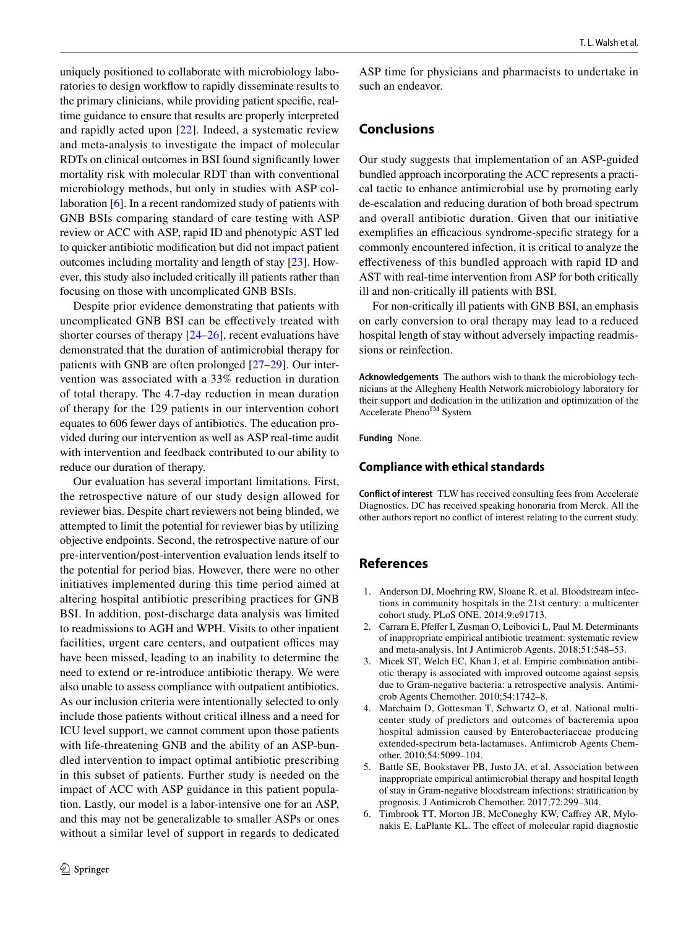uniquely positioned to collaborate with microbiology laboratories to design workflow to rapidly disseminate results to the primary clinicians, while providing patient specifc, realtime guidance to ensure that results are properly interpreted and rapidly acted upon [[22\]](#page-8-10). Indeed, a systematic review and meta-analysis to investigate the impact of molecular RDTs on clinical outcomes in BSI found signifcantly lower mortality risk with molecular RDT than with conventional microbiology methods, but only in studies with ASP collaboration [\[6](#page-7-2)]. In a recent randomized study of patients with GNB BSIs comparing standard of care testing with ASP review or ACC with ASP, rapid ID and phenotypic AST led to quicker antibiotic modifcation but did not impact patient outcomes including mortality and length of stay [\[23\]](#page-8-11). However, this study also included critically ill patients rather than focusing on those with uncomplicated GNB BSIs.

Despite prior evidence demonstrating that patients with uncomplicated GNB BSI can be efectively treated with shorter courses of therapy  $[24–26]$  $[24–26]$  $[24–26]$ , recent evaluations have demonstrated that the duration of antimicrobial therapy for patients with GNB are often prolonged [\[27](#page-8-14)[–29\]](#page-8-15). Our intervention was associated with a 33% reduction in duration of total therapy. The 4.7-day reduction in mean duration of therapy for the 129 patients in our intervention cohort equates to 606 fewer days of antibiotics. The education provided during our intervention as well as ASP real-time audit with intervention and feedback contributed to our ability to reduce our duration of therapy.

Our evaluation has several important limitations. First, the retrospective nature of our study design allowed for reviewer bias. Despite chart reviewers not being blinded, we attempted to limit the potential for reviewer bias by utilizing objective endpoints. Second, the retrospective nature of our pre-intervention/post-intervention evaluation lends itself to the potential for period bias. However, there were no other initiatives implemented during this time period aimed at altering hospital antibiotic prescribing practices for GNB BSI. In addition, post-discharge data analysis was limited to readmissions to AGH and WPH. Visits to other inpatient facilities, urgent care centers, and outpatient offices may have been missed, leading to an inability to determine the need to extend or re-introduce antibiotic therapy. We were also unable to assess compliance with outpatient antibiotics. As our inclusion criteria were intentionally selected to only include those patients without critical illness and a need for ICU level support, we cannot comment upon those patients with life-threatening GNB and the ability of an ASP-bundled intervention to impact optimal antibiotic prescribing in this subset of patients. Further study is needed on the impact of ACC with ASP guidance in this patient population. Lastly, our model is a labor-intensive one for an ASP, and this may not be generalizable to smaller ASPs or ones without a similar level of support in regards to dedicated

ASP time for physicians and pharmacists to undertake in such an endeavor.

# **Conclusions**

Our study suggests that implementation of an ASP-guided bundled approach incorporating the ACC represents a practical tactic to enhance antimicrobial use by promoting early de-escalation and reducing duration of both broad spectrum and overall antibiotic duration. Given that our initiative exemplifies an efficacious syndrome-specific strategy for a commonly encountered infection, it is critical to analyze the efectiveness of this bundled approach with rapid ID and AST with real-time intervention from ASP for both critically ill and non-critically ill patients with BSI.

For non-critically ill patients with GNB BSI, an emphasis on early conversion to oral therapy may lead to a reduced hospital length of stay without adversely impacting readmissions or reinfection.

**Acknowledgements** The authors wish to thank the microbiology technicians at the Allegheny Health Network microbiology laboratory for their support and dedication in the utilization and optimization of the Accelerate Pheno<sup>TM</sup> System

**Funding** None.

#### **Compliance with ethical standards**

**Conflict of interest** TLW has received consulting fees from Accelerate Diagnostics. DC has received speaking honoraria from Merck. All the other authors report no confict of interest relating to the current study.

# **References**

- <span id="page-7-0"></span>1. Anderson DJ, Moehring RW, Sloane R, et al. Bloodstream infections in community hospitals in the 21st century: a multicenter cohort study. PLoS ONE. 2014;9:e91713.
- 2. Carrara E, Pfeffer I, Zusman O, Leibovici L, Paul M. Determinants of inappropriate empirical antibiotic treatment: systematic review and meta-analysis. Int J Antimicrob Agents. 2018;51:548–53.
- 3. Micek ST, Welch EC, Khan J, et al. Empiric combination antibiotic therapy is associated with improved outcome against sepsis due to Gram-negative bacteria: a retrospective analysis. Antimicrob Agents Chemother. 2010;54:1742–8.
- 4. Marchaim D, Gottesman T, Schwartz O, et al. National multicenter study of predictors and outcomes of bacteremia upon hospital admission caused by Enterobacteriaceae producing extended-spectrum beta-lactamases. Antimicrob Agents Chemother. 2010;54:5099–104.
- <span id="page-7-1"></span>5. Battle SE, Bookstaver PB, Justo JA, et al. Association between inappropriate empirical antimicrobial therapy and hospital length of stay in Gram-negative bloodstream infections: stratifcation by prognosis. J Antimicrob Chemother. 2017;72:299–304.
- <span id="page-7-2"></span>6. Timbrook TT, Morton JB, McConeghy KW, Cafrey AR, Mylonakis E, LaPlante KL. The efect of molecular rapid diagnostic